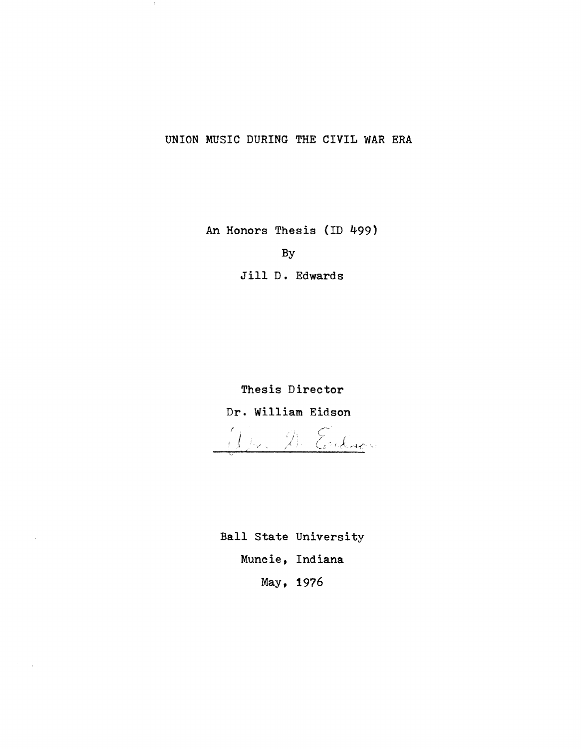## UNION MUSIC DURING THE CIVIL WAR ERA

An Honors Thesis (ID 499)

By

Jill D. Edwards

Thesis Director Dr. William Eidson *r*  i (

Ball State University Muncie, Indiana May, 1976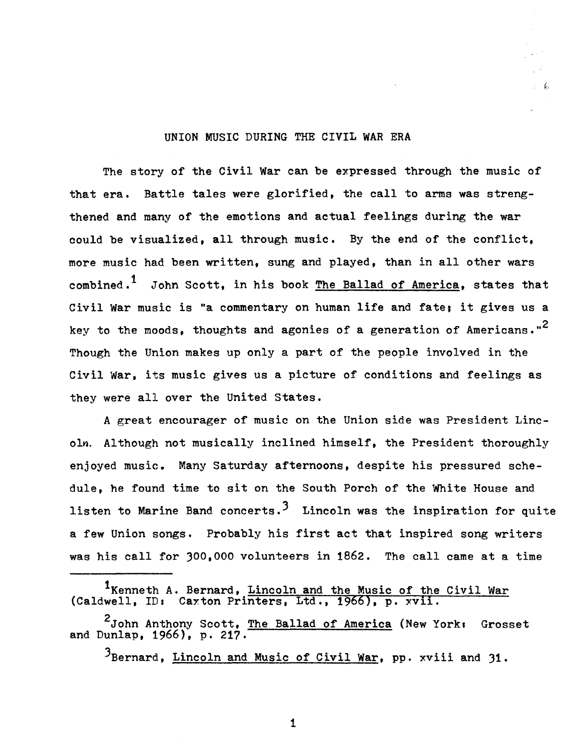## UNION MUSIC DURING THE CIVIL WAR ERA

The story of the Civil War can be expressed through the music of that era. Battle tales were glorified, the call to arms was strengthened and many of the emotions and actual feelings during the war could be visualized, all through music. By the end of the conflict, more music had been written, sung and played, than in all other wars combined.<sup>1</sup> John Scott, in his book The Ballad of America, states that Civil War music is "a commentary on human life and fate; it gives us a key to the moods, thoughts and agonies of a generation of Americans."<sup>2</sup> Though the Union makes up only a part of the people involved in the Civil War, its music gives us a picture of conditions and feelings as they were all over the United States.

A great encourager of music on the Union side was President Lincoln. Although not musically inclined himself, the President thoroughly enjoyed music. Many Saturday afternoons, despite his pressured schedule, he found time to sit on the South Porch of the White House and listen to Marine Band concerts.<sup>3</sup> Lincoln was the inspiration for quite a few Union songs. Probably his first act that inspired song writers was his call for 300,000 volunteers in 1862. The call came at a time

<sup>&</sup>lt;sup>1</sup>Kenneth A. Bernard, Lincoln and the Music of the Civil War (Caldwell, ID: Caxton Printers, Ltd., 1966), p.  $xv$ ii.

<sup>&</sup>lt;sup>2</sup>John Anthony Scott, <u>The Ballad of America</u> (New York: Grosset and Dunlap,  $1966$ , p. 217

<sup>3</sup>Bernard, Lincoln and Music of Civil War, pp. xviii and 31.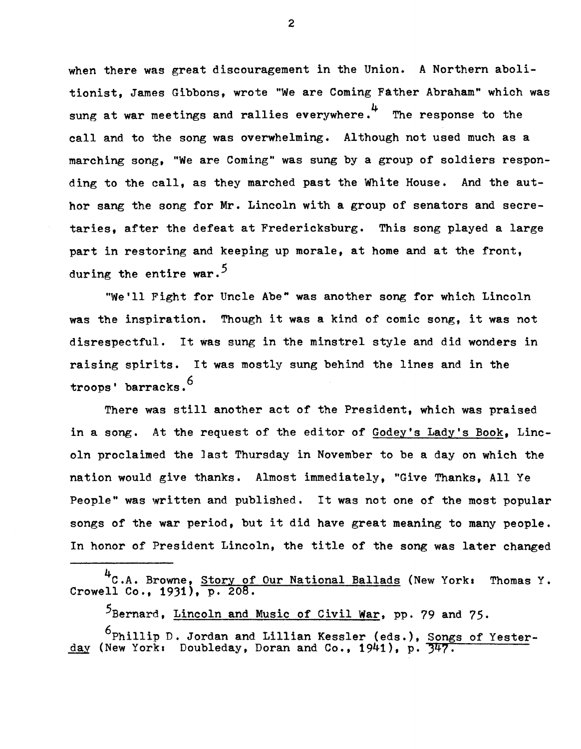when there was great discouragement in the Union. A Northern abolitionist. James Gibbons, wrote "We are Coming Father Abraham" which was sung at war meetings and rallies everywhere.<sup>4</sup> The response to the call and to the song was overwhelming. Although not used much as a marching song, "We are Coming" was sung by a group of soldiers responding to the call, as they marched past the White House. And the author sang the song for Mr. Lincoln with a group of senators and secretaries, after the defeat at Fredericksburg. This song played a large part in restoring and keeping up morale, at home and at the front, during the entire war.<sup>5</sup>

"We'll Fight for Uncle Abe" was another song for which Lincoln was the inspiration. Though it was a kind of comic song, it was not disrespectful. It was sung in the minstrel style and did wonders in raising spirits. It was mostly sung behind the lines and in the troops' barracks.<sup>6</sup>

There was still another act of the President, which was praised in a song. At the request of the editor of Godey's Lady's Book, Lincoln proclaimed the last Thursday in November to be a day on which the nation would give thanks. Almost immediately, "Give Thanks, All Ye People" was written and published. It was not one of the most popular songs of the war period, but it did have great meaning to many people. In honor of President Lincoln, the title of the song was later changed

<sup>4</sup>C.A. Browne, <u>Story of Our National Ballads</u> (New York: Thomas Y. Crowell Co., 1931), p. 208.

5Bernard, Lincoln and Music of Civil War, pp. 79 and 75.

6Phillip D. Jordan and Lillian Kessler (eds.), Songs of Yesterday (New York: Doubleday, Doran and Co., 1941), p. 347.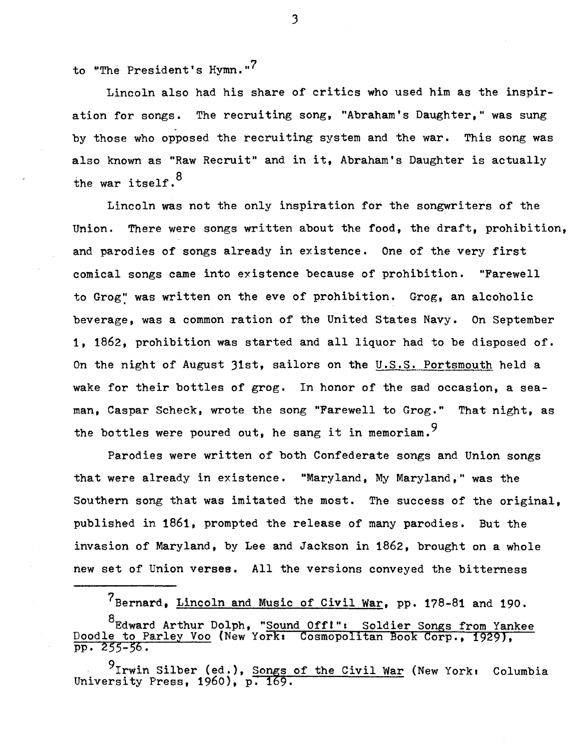to "The President's Hymn."<sup>7</sup>

Lincoln also had his share of critics who used him as the inspiration for songs. The recruiting song, "Abraham's Daughter," was sung by those who opposed the recruiting system and the war. This song was also known as "Raw Recruit" and in it, Abraham's Daughter is actually the war itself.<sup>8</sup>

Lincoln was not the only inspiration for the songwriters of the Union. There were songs written about the food, the draft, prohibition, and parodies of songs already in existence. One of the very first comical songs came into existence because of prohibition. "Farewell to Grog': was written on the eve of prohibition. Grog, an alcoholic beverage, was a common ration of the United States Navy. On September 1, 1862, prohibition was started and all liquor had to be disposed of. On the night of August 31st, sailors on the U.S.S. Portsmouth held a wake for their bottles of grog. In honor of the sad occasion, a seaman, Caspar Scheck, wrote the song "Farewell to Grog." That night, as the bottles were poured out, he sang it in memoriam.<sup>9</sup>

Parodies were written of both Confederate songs and Union songs that were already in existence. "Maryland, My Maryland," was the Southern song that was imitated the most. The success of the original, published in. 1861, prompted the release of many parodies. But the invasion of Maryland, by Lee and Jackson in 1862, brought on a whole new set of Union verses. All the versions conveyed the bitterness

7Bernard, Lincoln and Music of Civil War, pp. 178-81 and 190.

<sup>8</sup>Edward Arthur Dolph, "Sound Off!": Soldier Songs from Yankee Doodle to Parley Voo (New York: Cosmopolitan Book Corp., 1929), pp. 255-56.

 $9$ Irwin Silber (ed.), Songs of the Civil War (New York: Columbia University Press,  $1960$ ,  $p. 169$ .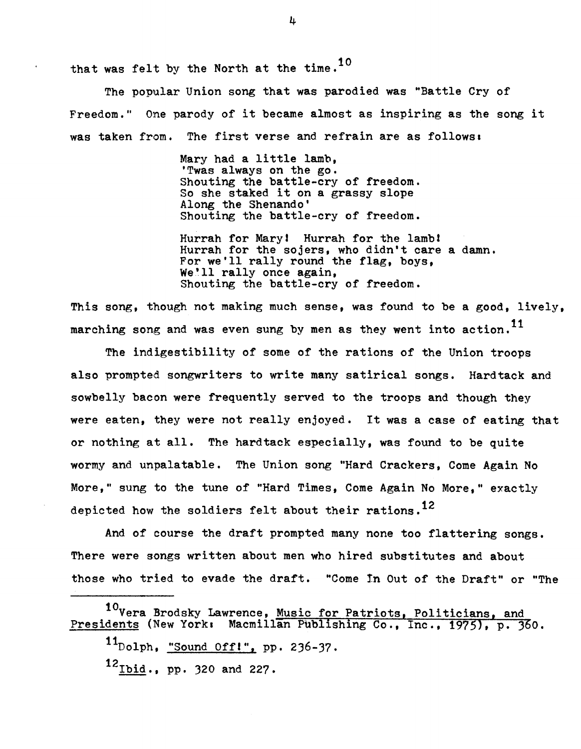that was felt by the North at the time.<sup>10</sup>

The popular Union song that was parodied was "Battle Cry of Freedom." One parody of it became almost as inspiring as the song it was taken from. The first verse and refrain are as follows.

> Mary had a little lamb,<br>'Twas always on the go. Shouting the battle-cry of freedom. So she staked it on a grassy slope Along the Shenando' Shouting the battle-cry of freedom.

Hurrah for Mary! Hurrah for the lamb! Hurrah for the sojers, who didn't care a damn. For we'll rally round the flag, boys, We'll rally once again, Shouting the battle-cry of freedom.

This song, though not making much sense, was found to be a good, lively, marching song and was even sung by men as they went into action.<sup>11</sup>

The indigestibility of some of the rations of the Union troops also prompted songwriters to write many satirical songs. Hardtack and sowbelly bacon were frequently served to the troops and though they were eaten, they were not really enjoyed. It was a case of eating that or nothing at all. The hardtack especially, was found to be quite wormy and unpalatable. The Union song "Hard Crackers, Come Again No More," sung to the tune of "Hard Times, Come Again No More," exactly depicted how the soldiers felt about their rations.<sup>12</sup>

And of course the draft prompted many none too flattering songs. There were songs written about men who hired SUbstitutes and about those who tried to evade the draft. "Come In Out of the Draft" or "The

<sup>10</sup>Vera Brodsky Lawrence, Music for Patriots, Politicians, and Presidents (New York: Macmillan Publishing Co., Inc., 1975), p. 360.

 $11_{\text{Dolph}}$ , "Sound Off!", pp. 236-37.

 $12_{\text{Ibid.}}$ , pp. 320 and 227.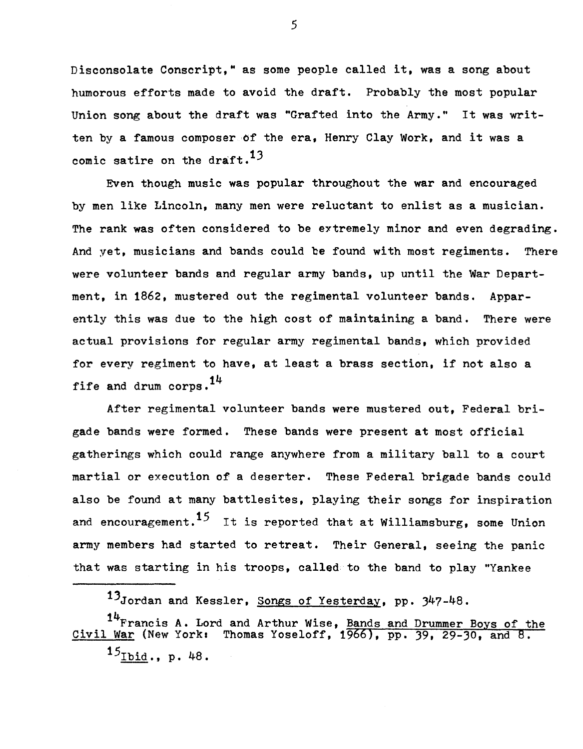Disconsolate Conscript," as some people called it, was a song about humorous efforts made to avoid the draft. Probably the most popular Union song about the draft was "Grafted into the Army." It was written by a famous composer of the era, Henry Clay Work, and it was a comic satire on the draft.<sup>13</sup>

Even though music was popular throughout the war and encouraged by men like Lincoln, many men were reluctant to enlist as a musician. The rank was often considered to be extremely minor and even degrading. And yet, musicians and bands could be found with most regiments. There were volunteer bands and regular army bands, up until the War Department, in 1862, mustered out the regimental volunteer bands. Apparently this was due to the high cost of maintaining a band. There were actual provisions for regular army regimental bands, which provided for every regiment to have, at least a brass section, if not also a fife and drum corps.  $14$ 

After regimental volunteer bands were mustered out, Federal brigade bands were formed. These bands were present at most official gatherings which could range anywhere from a military ball to a court martial or execution of a deserter. These Federal brigade bands could also be found at many battlesites, playing their songs for inspiration and encouragement.<sup>15</sup> It is reported that at Williamsburg, some Union army members had started to retreat. Their General, seeing the panic that was starting in his troops, called to the band to play "Yankee

13Jordan and Kessler, Songs of Yesterday, pp. 347-48.

<sup>14</sup>Francis A. Lord and Arthur Wise, Bands and Drummer Boys of the Civil War (New York: Thomas Yoseloff, 1966), pp. 39, 29-30, and 8.  $15$ Ibid., p. 48.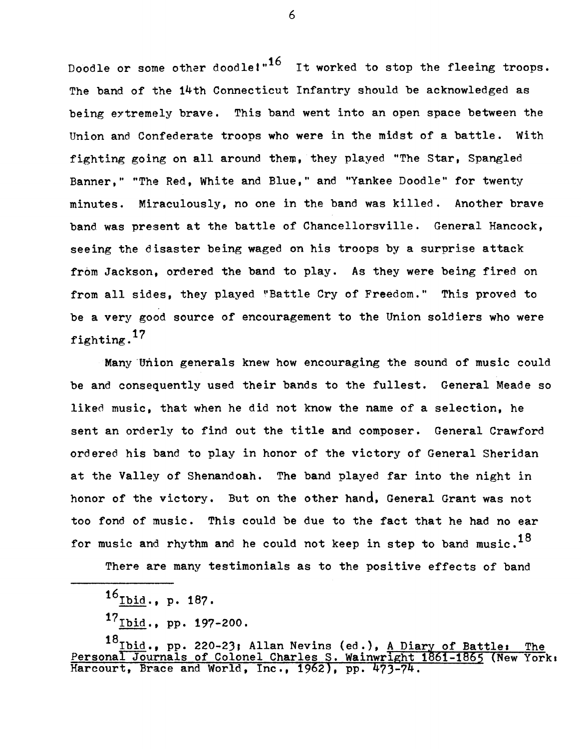Doodle or some other doodle!" $16$  It worked to stop the fleeing troops. The band of the 14th Connecticut Infantry should be acknowledged as being eytremely brave. This band went into an open space between the Union and Confederate troops who were in the midst of a battle. with fighting going on all around them, they played "The star, Spangled Banner," "The Red, White and Blue," and "Yankee Doodle" for twenty minutes. Miraculously, no one in the band was killed. Another brave band was present at the battle of Chancellorsville. General Hancock, seeing the disaster being waged on his troops by a surprise attack from Jackson, ordered the band to play. As they were being fired on from all sides. they played "Battle Cry of Freedom." This proved to be a very good source of encouragement to the Union soldiers who were fighting.<sup>17</sup>

Many 'Union generals knew how encouraging the sound of music could be and consequently used their bands to the fullest. General Meade so liked music, that when he did not know the name of a selection, he sent an orderly to find out the title and composer. General Crawford ordered his band to play in honor of the victory of General Sheridan at the Valley of Shenandoah. The band played far into the night in honor of the victory. But on the other hand, General Grant was not too fond of music. This could be due to the fact that he had no ear for music and rhythm and he could not keep in step to band music. $^{18}$ 

There are many testimonials as to the positive effects of band

 $16$ Ibid., p. 187.

 $17_{\underline{I} \underline{b} \underline{i} \underline{d}}$ ., pp. 197-200.

 $^{18}$ Ibid ., pp. 220-23; Allan Nevins (ed.), <u>A Diary of Battle: The</u> Personal Journals of Colonel Charles S. Wainwright  $1861-1865$  (New York: Harcourt, Brace and World, Inc., 1962), pp.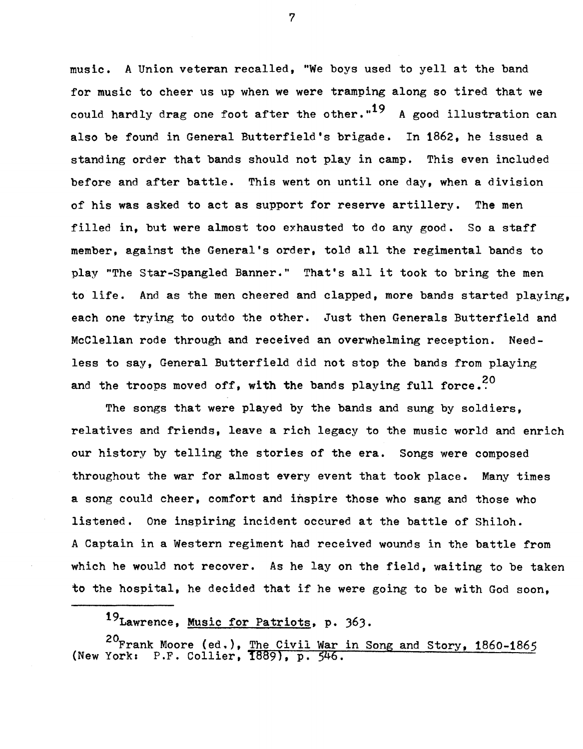music. A Union veteran recalled, "We boys used to yell at the band for music to cheer us up when we were tramping along so tired that we could hardly drag one foot after the other."<sup>19</sup> A good illustration can also be found in General Butterfield's brigade. In 1862, he issued a standing order that bands should not play in camp. This even included before and after battle. This went on until one day, when a division of his was asked to act as support for reserve artillery. The men filled in, but were almost too exhausted to do any good. So a staff member, against the General's order, told all the regimental bands to play "The Star-Spangled Banner." That's all it took to bring the men to life. And as the men cheered and clapped, more bands started playing, each one trying to outdo the other. Just then Generals Butterfield and McClellan rode through and received an overwhelming reception. Needless to say, General Butterfield did not stop the bands from playing and the troops moved off, with the bands playing full force.<sup>20</sup>

The songs that were played by the bands and sung by soldiers, relatives and friends, leave a rich legacy to the music world and enrich our history by telling the stories of the era. Songs were composed throughout the war for almost every event that took place. Many times a song could cheer, comfort and inspire those who sang and those who listened. One inspiring incident occured at the battle of Shiloh. A Captain in a Western regiment had received wounds in the battle from which he would not recover. As he lay on the field, waiting to be taken to the hospital, he decided that if he were going to be with God soon,

19Lawrence, Music for Patriots, p. 363.

(New  $^{20}$ Frank Moore (ed.), <u>The Civil War in Song and Story</u>, 1860-1865 York: P.F. Collier, 1889), p. 546.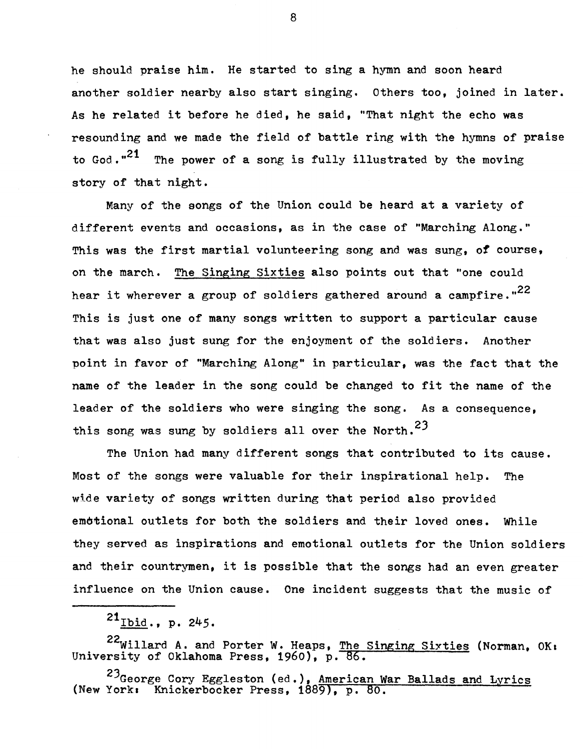he should praise him. He started to sing a hymn and soon heard another soldier nearby also start singing. others too, joined in later. As he related it before he died, he said, "That night the echo was resounding and we made the field of battle ring with the hymns of praise to God. $.21$  The power of a song is fully illustrated by the moving story of that night.

Many of the songs of the Union could be heard at a variety of different events and occasions, as in the case of "Marching Along." This was the first martial volunteering song and was sung, *ot* course, on the march. The Singing Sixties also points out that "one could hear it wherever a group of soldiers gathered around a campfire."<sup>22</sup> This is just one of many songs written to support a particular cause that was also just sung for the enjoyment of the soldiers. Another point in favor of "Marching Along" in particular, was the fact that the name of the leader in the song could be changed to fit the name of the leader of the soldiers who were singing the song. As a consequence, this song was sung by soldiers all over the North.<sup>23</sup>

The Union had many different songs that contributed to its cause. Most of the songs were valuable for their inspirational help. The wide variety of songs written during that period also provided emotional outlets for both the soldiers and their loved ones. While they served as inspirations and emotional outlets for the Union soldiers and their countrymen, it is possible that the songs had an even greater influence on the Union cause. One incident suggests that the music of

22Willard A. and Porter W. Heaps, The Singing Sixties (Norman, OK: University of Oklahoma Press, 1960), p. 86.

 $^{23}$ George Cory Eggleston (ed.), American War Ballads and Lyrics (New York: Knickerbocker Press, 1889), p. 80.

 $^{21}$ Ibid., p. 245.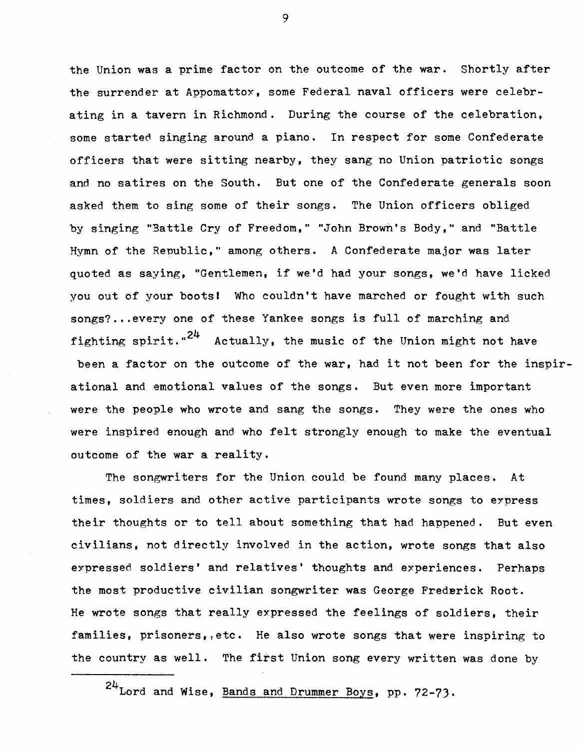the Union was a prime factor on the outcome of the war. Shortly after the surrender at Appomattox, some Federal naval officers were celebrating in a tavern in Richmond. During the course of the celebration, some started singing around a piano. In respect for some Confederate officers that were sitting nearby, they sang no Union patriotic songs and no satires on the South. But one of the Confederate generals soon asked them to sing some of their songs. The Union officers obliged by singing "Battle Cry of Freedom," "John Brown's Body," and "Battle Hymn of the Republic," among others. A Confederate major was later quoted as saying, "Gentlemen, if we'd had your songs, we'd have licked you out of your bootsl Who couldn't have marched or fought with such songs?...every one of these Yankee songs is full of marching and fighting spirit." $24$  Actually, the music of the Union might not have been a factor on the outcome of the war, had it not been for the inspirational and emotional values of the songs. But even more important were the people who wrote and sang the songs. They were the ones who were inspired enough and who felt strongly enough to make the eventual outcome of the war a reality.

The songwriters for the Union could be found many places. At times, soldiers and other active participants wrote songs to eypress their thoughts or to tell about something that had happened. But even civilians, not directly involved in the action, wrote songs that also expressed soldiers' and relatives' thoughts and experiences. Perhaps the most productive civilian songwriter was George Frederick Root. He wrote songs that really expressed the feelings of soldiers, their families, prisoners, etc. He also wrote songs that were inspiring to the country as well. The first Union song every written was done by

24Lord and Wise, Bands and Drummer Boys, pp. 72-73.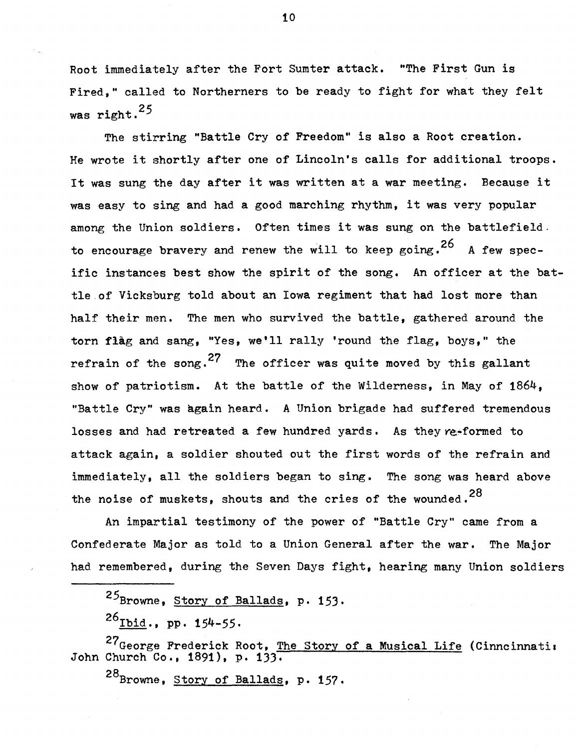Root immediately after the Fort Sumter attack. "The First Gun is Fired," called to Northerners to be ready to fight for what they felt was right. $25$ 

The stirring "Battle Cry of Freedom" is also a Root creation. He wrote it shortly after one of Lincoln's calls for additional troops. It was sung the day after it was written at a war meeting. Because it was easy to sing and had a good marching rhythm, it was very popular among the Union soldiers. Often times it was sung on the battlefield. to encourage bravery and renew the will to keep going.<sup>26</sup> A few specific instances best show the spirit of the song. An officer at the battle.of Vicksburg told about an Iowa regiment that had lost more than half their men. The men who survived the battle, gathered around the torn flag and sang, "Yes, we'll rally 'round the flag, boys," the refrain of the song.<sup>27</sup> The officer was quite moved by this gallant show of patriotism. At the battle of the Wilderness, in May of 1864, "Battle Cry" was again heard. A Union brigade had suffered tremendous losses and had retreated a few hundred yards. As they re-formed to attack again, a soldier shouted out the first words of the refrain and immediately, all the soldiers began to sing. The song was heard above the noise of muskets, shouts and the cries of the wounded.<sup>28</sup>

An impartial testimony of the power of "Battle Cry" came from a Confederate Major as told to a Union General after the war. The Major had remembered, during the Seven Days fight, hearing many Union soldiers

 $25$ Browne, Story of Ballads, p. 153.

 $^{26}$ Ibid., pp. 154-55.

27<sub>George</sub> Frederick Root, The Story of a Musical Life (Cinncinnati: John Church Co., 1891), p. 133.

28<sub>Browne, Story of Ballads</sub>, p. 157.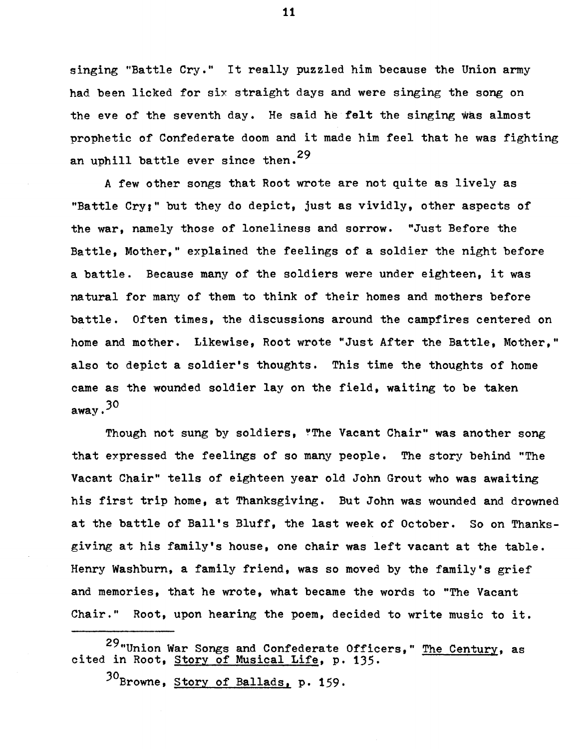singing "Battle Cry." It really puzzled him because the Union army had been licked for six straight days and were singing the song on the eve of the seventh day. He said he felt the singing was almost prophetic of Confederate doom and it made him feel that he was fighting an uphill battle ever since then.<sup>29</sup>

A few other songs that Root wrote are not quite as lively as "Battle Cry," but they do depict, just as vividly, other aspects of the war, namely those of loneliness and sorrow. "Just Before the Battle, Mother," explained the feelings of a soldier the night before a battle. Because many of the soldiers were under eighteen, it was natural for many of them to think of their homes and mothers before battle, Often times, the discussions around the campfires centered on home and mother. Likewise, Root wrote "Just After the Battle, Mother," also to depict a soldier's thoughts. This time the thoughts of home came as the wounded soldier lay on the field, waiting to be taken away.30

Though not sung by soldiers, "The Vacant Chair" was another song that expressed the feelings of so many people. The story behind "The Vacant Chair" tells of eighteen year old John Grout who was awaiting his first trip home, at Thanksgiving. But John was wounded and drowned at the battle of Ball's Bluff, the last week of October. So on Thanksgiving at his family's house, one chair was left vacant at the table. Henry Washburn, a family friend, was so moved by the family's grief and memories, that he wrote, what became the words to "The Vacant Chair," Root, upon hearing the poem, decided to write music to it.

<sup>29&</sup>quot;Union War Songs and Confederate Officers," The Century, as cited in Root, Story of Musical Life, p. 135.

<sup>&</sup>lt;sup>30</sup>Browne, Story of Ballads, p. 159.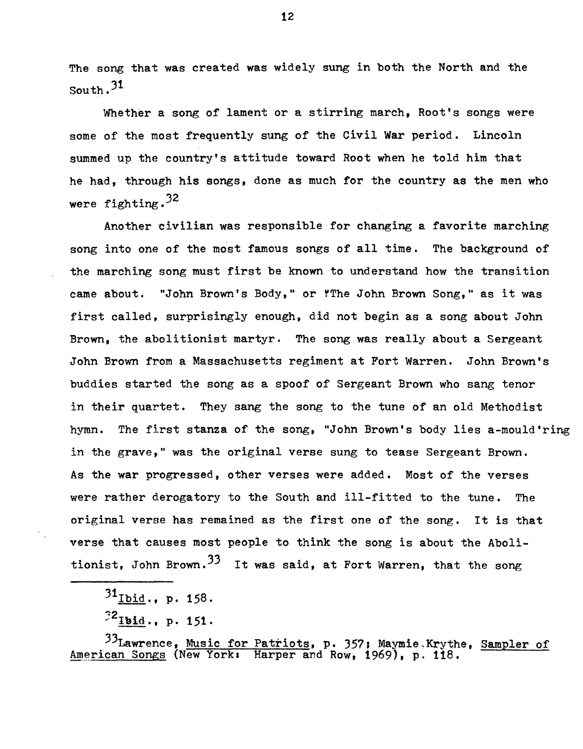The song that was created was widely sung in both the North and the South.31

Whether a song of lament or a stirring march. Root's songs were some of the most frequently sung of the Civil War period. Lincoln summed up the country's attitude toward Root when he told him that he had, through his songs, done as much for the country as the men who were fighting.<sup>32</sup>

Another civilian was responsible for changing a favorite marching song into one of the most famous songs of all time. The background of the marching song must first be known to understand how the transition came about. "John Brown's Body," or rThe John Brown Song," as it was first called, surprisingly enough, did not begin as a song about John Brown, the abolitionist martyr. The song was really about a Sergeant John Brown from a Massachusetts regiment at Fort Warren. John Brown's buddies started the song as a spoof of Sergeant Brown who sang tenor in their quartet. They sang the song to the tune of an old Methodist hymn. The first stanza of the song, "John Brown's body lies a-mould'ring in the grave," was the original verse sung to tease Sergeant Brown. As the war progressed, other verses were added. Most of the verses were rather derogatory to the South and ill-fitted to the tune. The original verse has remained as the first one of the song. It is that verse that causes most people to think the song is about the Abolitionist. John Brown.<sup>33</sup> It was said, at Fort Warren, that the song

 $31$ Ibid., p. 158.

 $^{32}$ Ibid., p. 151.

33Lawrence, Music for Patriots, p. 357; Maymie,Krythe, Sampler of American Songs (New York: Harper and Row, 1969), p. 118.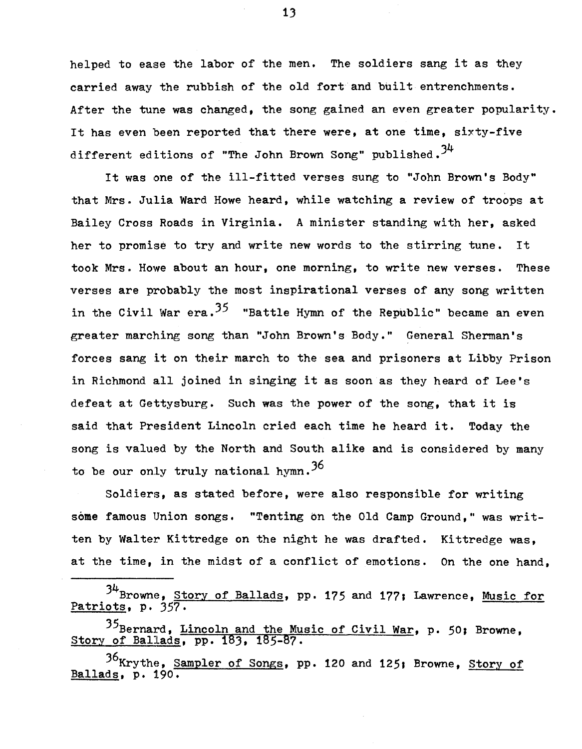helped to ease the labor of the men. The soldiers sang it as they carried away the rubbish of the old fort and built entrenchments. After the tune was changed, the song gained an even greater popularity. It has even been reported that there were, at one time, sixty-five different editions of "The John Brown Song" published.<sup>34</sup>

It was one of the ill-fitted verses sung to "John Brown's Body" that Mrs. Julia Ward Howe heard, while watching a review of troops at Bailey Cross Roads in Virginia. A minister standing with her, asked her to promise to try and write new words to the stirring tune. It took Mrs. Howe about an hour, one morning, to write new verses. These verses are probably the most inspirational verses of any song written in the Civil War era.<sup>35</sup> "Battle Hymn of the Republic" became an even greater marching song than "John Brown's Body." General Sherman's forces sang it on their march to the sea and prisoners at Libby Prison in Richmond all joined in singing it as soon as they heard of Lee's defeat at Gettysburg. Such was the power of the song, that it is said that President Lincoln cried each time he heard it. Today the song is valued by the North and South alike and is considered by many to be our only truly national hymn.  $36$ 

Soldiers, as stated before, were also responsible for writing some famous Union songs. "Tenting on the Old Camp Ground," was written by Walter Kittredge on the night he was drafted. Kittredge was, at the time, in the midst of a conflict of emotions. On the one hand,

3<sup>4</sup>Browne, Story of Ballads, pp. 175 and 177; Lawrence, Music for Patriots, p. 357.

<sup>35</sup>Bernard, Lincoln and the Music of Civil War, p. 50; Browne, Story of Ballads, pp. 183, 185-87.

36<sub>Krythe, Sampler of Songs, pp. 120 and 125; Browne, Story of</sub> Ballads, p. 190.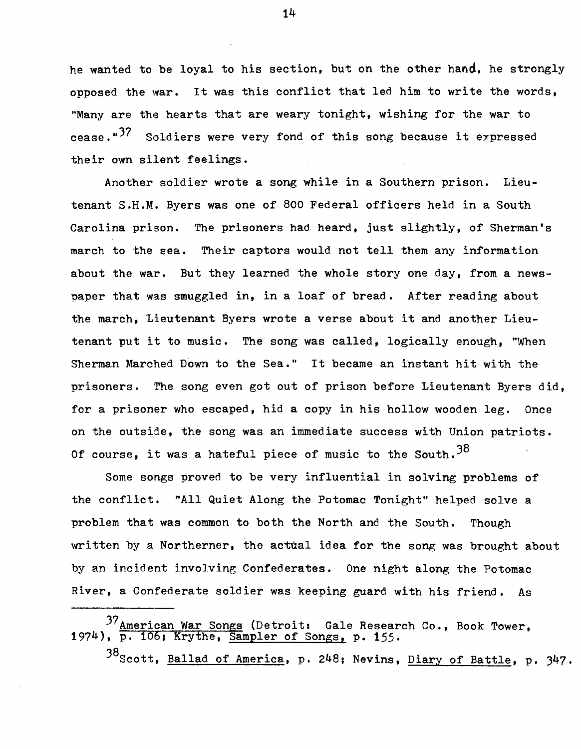he wanted to be loyal to his section, but on the other hand, he strongly opposed the war. It was this conflict that led him to write the words, "Many are the hearts that are weary tonight, wishing for the war to cease."<sup>37</sup> Soldiers were very fond of this song because it expressed their own silent feelings.

Another soldier wrote a song while in a Southern prison. Lieutenant S.H.M. Byers was one of 800 Federal officers held in a South Carolina prison. The prisoners had heard, just slightly, of Sherman's march to the sea. Their captors would not tell them any information about the war. But they learned the whole story one day, from a newspaper that was smuggled in, in a loaf of bread. After reading about the march, Lieutenant Byers wrote a verse about it and another Lieutenant put it to music. The song was called, logically enough, "When Sherman Marched Down to the Sea." It became an instant hit with the prisoners. The song even got out of prison before Lieutenant Byers did, for a prisoner who escaped, hid a copy in his hollow wooden leg. Once on the outside, the song was an immediate success with Union patriots. Of course, it was a hateful piece of music to the South.  $38$ 

Some songs proved to be very influential in solving problems of the conflict. "All Quiet Along the Potomac Tonight" helped solve a problem that was common to both the North and the South. Though written by a Northerner, the actual idea for the song was brought about by an incident involving Confederates. One night along the Potomac River, a Confederate soldier was keeping guard with his friend. As

38 Scott, Ballad of America, p. 248; Nevins, Diary of Battle, p. 347.

<sup>37</sup> American War Songs (Detroit: Gale Research Co., Book Tower, 1974), p. 106; Krythe, Sampler of Songs, p. 155.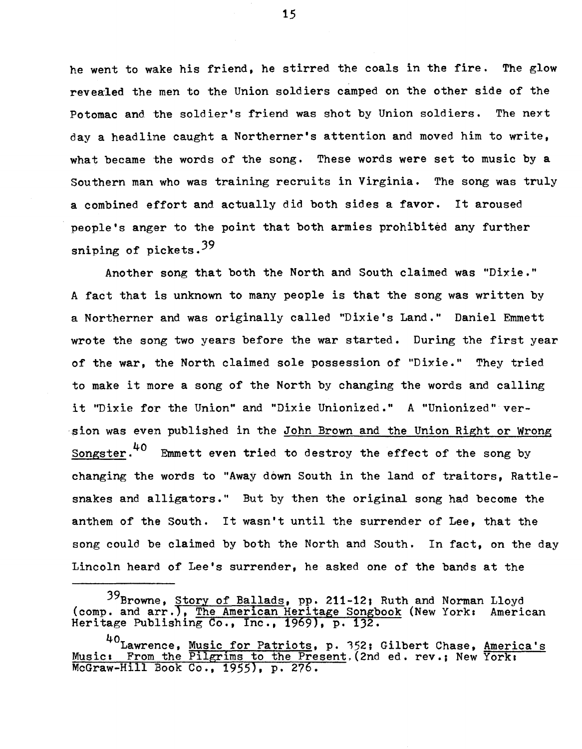he went to wake his friend, he stirred the coals in the fire. The glow revealed the men to the Union soldiers camped on the other side of the Potomac and the soldier's friend was shot by Union soldiers. The neyt day a headline caught a Northerner's attention and moved him to write, what became the words of the song. These words were set to music by a Southern man who was training recruits in Virginia. The song was truly a combined effort and actually did both sides a favor. It aroused people's anger to the point that both armies prohibited any further sniping of pickets.<sup>39</sup>

Another song that both the North and South claimed was "Dixie." A fact that is unknown to many people is that the song was written by a Northerner and was originally called "Dixie's Land." Daniel Emmett wrote the song two years before the war started. During the first year of the war, the North claimed sole possession of "Dixie." They tried to make it more a song of the North by changing the words and calling it "Dixie for the Union" and "Dixie Unionized." A "Unionized" version was even published in the John Brown and the Union Right or Wrong Songster.<sup>40</sup> Emmett even tried to destroy the effect of the song by changing the words to "Away down South in the land of traitors, Rattlesnakes and alligators." But by then the original song had become the anthem of the South. It wasn't until the surrender of Lee, that the song could be claimed by both the North and South. In fact, on the day Lincoln heard of Lee's surrender, he asked one of the bands at the

<sup>39</sup>Browne, Story of Ballads, pp. 211-12; Ruth and Norman Lloyd (comp. and arr.), The American Heritage Songbook (New York: American Heritage Publishing Co., Inc., 1969), p. 132.

<sup>40</sup>Lawrence, Music for Patriots, p. 352; Gilbert Chase, America's Music: From the Pilgrims to the Present, (2nd ed. rev.; New York: McGraw-Hill Book Co., 1955}, p. 276.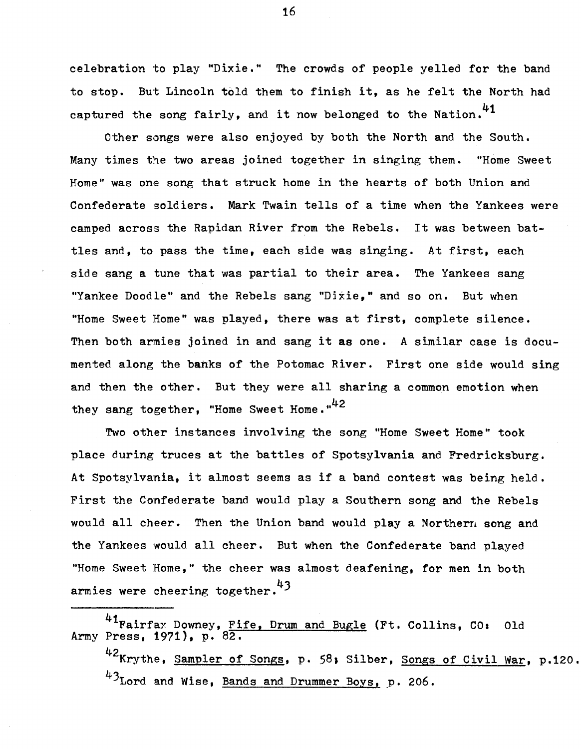celebration to play "Dixie." The crowds of people yelled for the band to stop. But Lincoln told them to finish it, as he felt the North had captured the song fairly, and it now belonged to the Nation. $41$ 

Other songs were also enjoyed by both the North and the South. Many times the two areas joined together in singing them. "Home Sweet Home" was one song that struck home in the hearts of both Union and Confederate soldiers. Mark Twain tells of a time when the Yankees were camped across the Rapidan River from the Rebels. It was between battles and, to pass the time, each side was singing. At first, each side sang a tune that was partial to their area. The Yankees sang "Yankee Doodle" and the Rebels sang "Dixie," and so on. But when "Home Sweet Home" was played, there was at first, complete silence. Then both armies joined in and sang it as one. A similar case is documented along the banks of the Potomac River. First one side would sing and then the other. But they were all sharing a common emotion when they sang together. "Home Sweet Home." $42$ 

Two other instances involving the song "Home Sweet Home" took place during truces at the battles of Spotsylvania and Fredricksburg. At Spotsylvania, it almost seems as if a band contest was being held. First the Confederate band would play a Southern song and the Rebels would all cheer. Then the Union band would play a Northern song and the Yankees would all cheer. But when the Confederate band played "Home Sweet Home," the cheer was almost deafening, for men in both armies were cheering together.<sup>43</sup>

<sup>41</sup> Fairfax Downey, Fife, Drum and Bugle (Ft. Collins, CO: Old Army Press, 1971), p. 82. 42 Krythe. Sampler of Songs, p. 58; Silber, Songs of Civil War, p.120. <sup>43</sup>Lord and Wise, Bands and Drummer Boys, p. 206.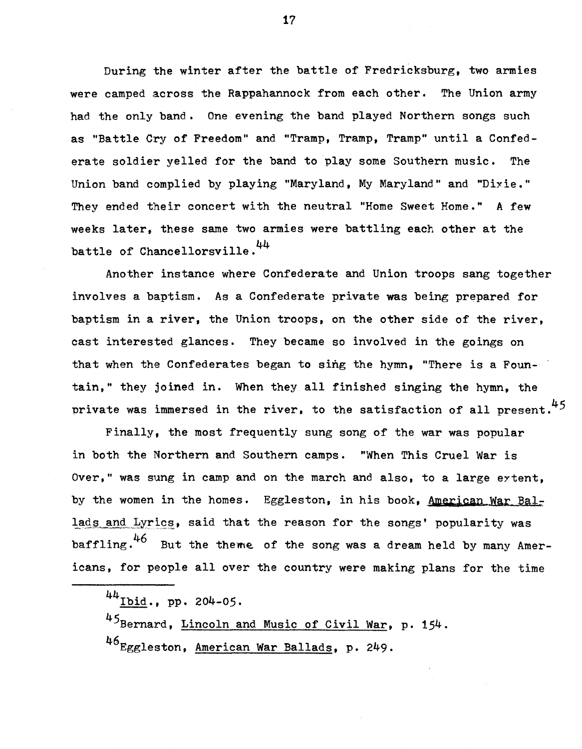During the winter after the battle of Fredricksburg, two armies were camped across the Rappahannock from each other. The Union army had the only band. One evening the band played Northern songs such as "Battle Cry of Freedom" and "Tramp, Tramp, Tramp" until a Confederate soldier yelled for the band to play some Southern music. The Union band complied by playing "Maryland, My Maryland" and "Dixie." They ended their concert with the neutral "Home Sweet Home." A few weeks later, these same two armies were battling each other at the battle of Chancellorsville.<sup>44</sup>

Another instance where Confederate and Union troops sang together involves a baptism. As a Confederate private was being prepared for baptism in a river, the Union troops, on the other side of the river, cast interested glances. They became so involved in the goings on that when the Confederates began to sing the hymn, "There is a Fountain," they joined in. When they all finished singing the hymn, the private was immersed in the river, to the satisfaction of all present.<sup>45</sup>

Finally, the most frequently sung song of the war was popular in both the Northern and Southern camps. "When This Cruel War is Over," was sung in camp and on the march and also, to a large eytent, by the women in the homes. Eggleston, in his book, American War Ballads and Lyrics, said that the reason for the songs' popularity was baffling. $46$  But the theme of the song was a dream held by many Americans, for people all over the country were making plans for the time

45Bernard, Lincoln and Music of Civil War, p. 154. 46Eggleston, American War Ballads, p. 249.

 $44$ Ibid., pp. 204-05.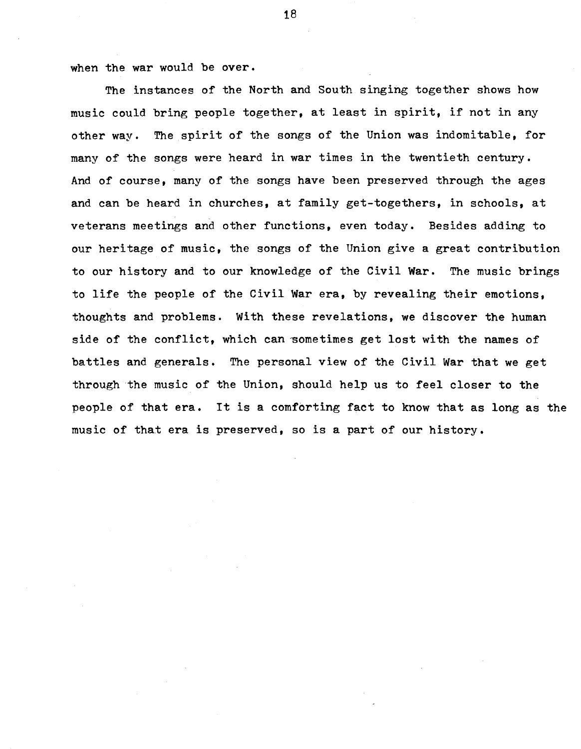when the war would be over.

The instances of the North and South singing together shows how music could bring people together, at least in spirit, if not in any other way. The spirit of the songs of the Union was indomitable, for many of the songs were heard in war times in the twentieth century. And of course, many of the songs have been preserved through the ages and can be heard in churches, at family get-togethers, in schools, at veterans meetings and other functions, even today. Besides adding to our heritage of music, the songs of the Union give a great contribution to our history and to our knowledge of the Civil War. The music brings to life the people of the Civil War era, by revealing their emotions, thoughts and problems. With these revelations, we discover the human side of the conflict, which can sometimes get lost with the names of battles and generals. The personal view of the Civil War that we get through the music of the Union, should help us to feel closer to the people of that era. It is a comforting fact to know that as long as the music of that era is preserved, so is a part of our history.